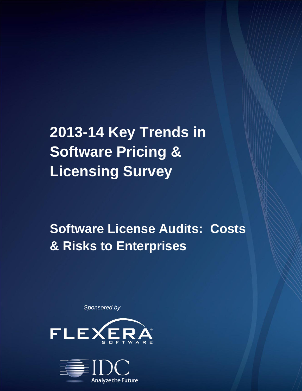# **2013-14 Key Trends in Software Pricing & Licensing Survey**

## **Software License Audits: Costs & Risks to Enterprises**

*Sponsored by*



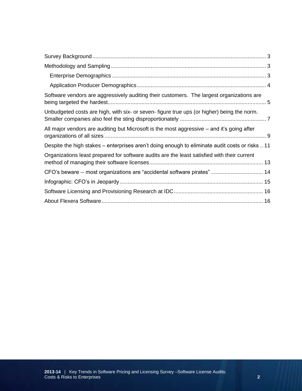| Software vendors are aggressively auditing their customers. The largest organizations are       |  |
|-------------------------------------------------------------------------------------------------|--|
| Unbudgeted costs are high, with six- or seven- figure true ups (or higher) being the norm.      |  |
| All major vendors are auditing but Microsoft is the most aggressive - and it's going after      |  |
| Despite the high stakes – enterprises aren't doing enough to eliminate audit costs or risks  11 |  |
| Organizations least prepared for software audits are the least satisfied with their current     |  |
| CFO's beware -- most organizations are "accidental software pirates" 14                         |  |
|                                                                                                 |  |
|                                                                                                 |  |
|                                                                                                 |  |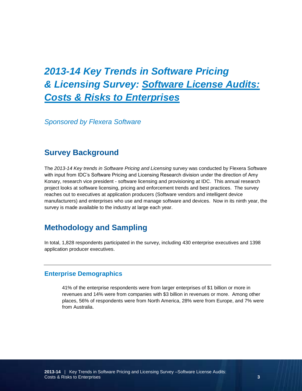## *2013-14 Key Trends in Software Pricing & Licensing Survey: Software License Audits: Costs & Risks to Enterprises*

*Sponsored by Flexera Software*

#### <span id="page-2-0"></span>**Survey Background**

The *2013-14 Key trends in Software Pricing and Licensing* survey was conducted by Flexera Software with input from IDC's Software Pricing and Licensing Research division under the direction of Amy Konary, research vice president - software licensing and provisioning at IDC. This annual research project looks at software licensing, pricing and enforcement trends and best practices. The survey reaches out to executives at application producers (Software vendors and intelligent device manufacturers) and enterprises who use and manage software and devices. Now in its ninth year, the survey is made available to the industry at large each year.

#### <span id="page-2-1"></span>**Methodology and Sampling**

In total, 1,828 respondents participated in the survey, including 430 enterprise executives and 1398 application producer executives.

#### <span id="page-2-2"></span>**Enterprise Demographics**

41% of the enterprise respondents were from larger enterprises of \$1 billion or more in revenues and 14% were from companies with \$3 billion in revenues or more. Among other places, 56% of respondents were from North America, 28% were from Europe, and 7% were from Australia.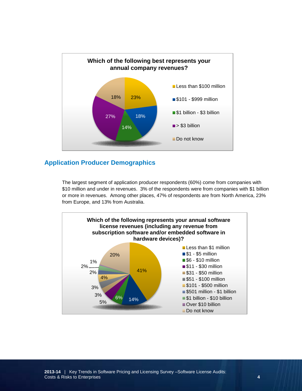

#### <span id="page-3-0"></span>**Application Producer Demographics**

The largest segment of application producer respondents (60%) come from companies with \$10 million and under in revenues. 3% of the respondents were from companies with \$1 billion or more in revenues. Among other places, 47% of respondents are from North America, 23% from Europe, and 13% from Australia.

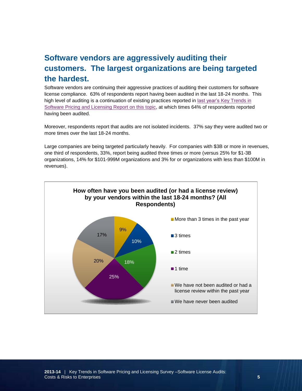#### <span id="page-4-0"></span>**Software vendors are aggressively auditing their customers. The largest organizations are being targeted the hardest.**

Software vendors are continuing their aggressive practices of auditing their customers for software license compliance. 63% of respondents report having been audited in the last 18-24 months. This high level of auditing is a continuation of existing practices reported in last year's [Key Trends in](http://www.flexerasoftware.com/company/news-center/press-releases/Software-License-Compliance-Audits-Increase-Cost-Risk-Exposure.html)  [Software Pricing and Licensing Report on this topic,](http://www.flexerasoftware.com/company/news-center/press-releases/Software-License-Compliance-Audits-Increase-Cost-Risk-Exposure.html) at which times 64% of respondents reported having been audited.

Moreover, respondents report that audits are not isolated incidents. 37% say they were audited two or more times over the last 18-24 months.

Large companies are being targeted particularly heavily. For companies with \$3B or more in revenues, one third of respondents, 33%, report being audited three times or more (versus 25% for \$1-3B organizations, 14% for \$101-999M organizations and 3% for or organizations with less than \$100M in revenues).

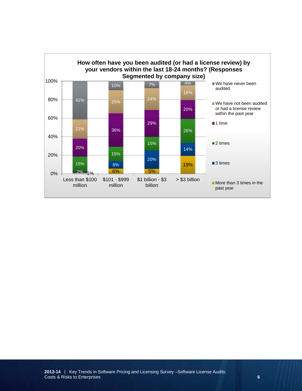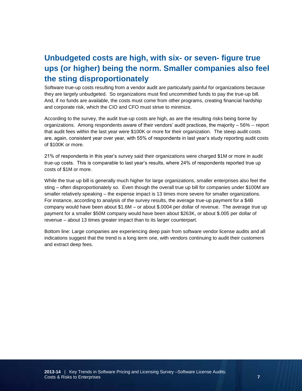### <span id="page-6-0"></span>**Unbudgeted costs are high, with six- or seven- figure true ups (or higher) being the norm. Smaller companies also feel the sting disproportionately**

Software true-up costs resulting from a vendor audit are particularly painful for organizations because they are largely unbudgeted. So organizations must find uncommitted funds to pay the true-up bill. And, if no funds are available, the costs must come from other programs, creating financial hardship and corporate risk, which the CIO and CFO must strive to minimize.

According to the survey, the audit true-up costs are high, as are the resulting risks being borne by organizations. Among respondents aware of their vendors' audit practices, the majority – 56% -- report that audit fees within the last year were \$100K or more for their organization. The steep audit costs are, again, consistent year over year, with 55% of respondents in last year's study reporting audit costs of \$100K or more.

21% of respondents in this year's survey said their organizations were charged \$1M or more in audit true-up costs. This is comparable to last year's results, where 24% of respondents reported true up costs of \$1M or more.

While the true up bill is generally much higher for large organizations, smaller enterprises also feel the sting – often disproportionately so. Even though the overall true up bill for companies under \$100M are smaller relatively speaking – the expense impact is 13 times more severe for smaller organizations. For instance, according to analysis of the survey results, the average true-up payment for a \$4B company would have been about \$1.6M – or about \$.0004 per dollar of revenue. The average true up payment for a smaller \$50M company would have been about \$263K, or about \$.005 per dollar of revenue – about 13 times greater impact than to its larger counterpart.

Bottom line: Large companies are experiencing deep pain from software vendor license audits and all indications suggest that the trend is a long term one, with vendors continuing to audit their customers and extract deep fees.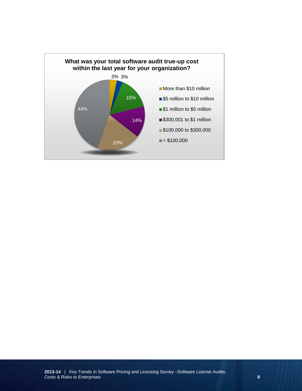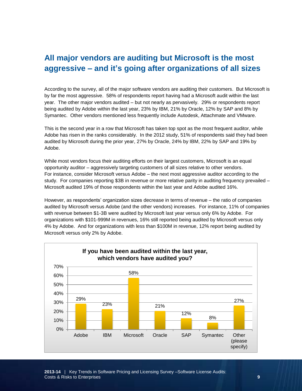#### <span id="page-8-0"></span>**All major vendors are auditing but Microsoft is the most aggressive – and it's going after organizations of all sizes**

According to the survey, all of the major software vendors are auditing their customers. But Microsoft is by far the most aggressive. 58% of respondents report having had a Microsoft audit within the last year. The other major vendors audited – but not nearly as pervasively. 29% or respondents report being audited by Adobe within the last year, 23% by IBM, 21% by Oracle, 12% by SAP and 8% by Symantec. Other vendors mentioned less frequently include Autodesk, Attachmate and VMware.

This is the second year in a row that Microsoft has taken top spot as the most frequent auditor, while Adobe has risen in the ranks considerably. In the 2012 study, 51% of respondents said they had been audited by Microsoft during the prior year, 27% by Oracle, 24% by IBM, 22% by SAP and 19% by Adobe.

While most vendors focus their auditing efforts on their largest customers, Microsoft is an equal opportunity auditor – aggressively targeting customers of all sizes relative to other vendors. For instance, consider Microsoft versus Adobe – the next most aggressive auditor according to the study. For companies reporting \$3B in revenue or more relative parity in auditing frequency prevailed – Microsoft audited 19% of those respondents within the last year and Adobe audited 16%.

However, as respondents' organization sizes decrease in terms of revenue – the ratio of companies audited by Microsoft versus Adobe (and the other vendors) increases. For instance, 11% of companies with revenue between \$1-3B were audited by Microsoft last year versus only 6% by Adobe. For organizations with \$101-999M in revenues, 16% still reported being audited by Microsoft versus only 4% by Adobe. And for organizations with less than \$100M in revenue, 12% report being audited by Microsoft versus only 2% by Adobe.

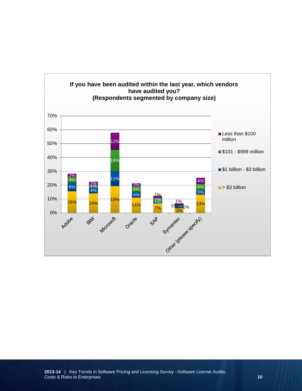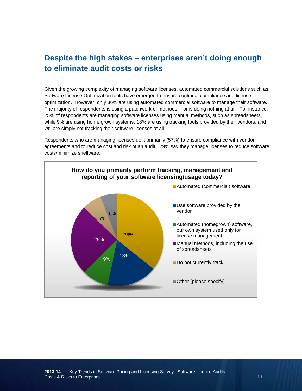#### <span id="page-10-0"></span>**Despite the high stakes – enterprises aren't doing enough to eliminate audit costs or risks**

Given the growing complexity of managing software licenses, automated commercial solutions such as Software License Optimization tools have emerged to ensure continual compliance and license optimization. However, only 36% are using automated commercial software to manage their software. The majority of respondents is using a patchwork of methods -- or is doing nothing at all. For instance, 25% of respondents are managing software licenses using manual methods, such as spreadsheets, while 9% are using home grown systems. 18% are using tracking tools provided by their vendors, and 7% are simply not tracking their software licenses at all

Respondents who are managing licenses do it primarily (57%) to ensure compliance with vendor agreements and to reduce cost and risk of an audit. 29% say they manage licenses to reduce software costs/minimize shelfware.

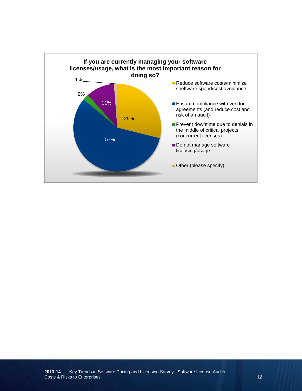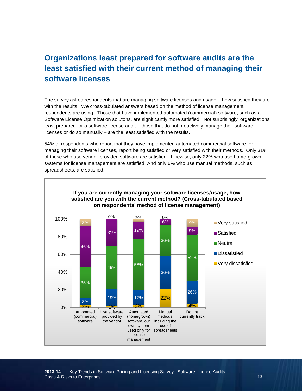### <span id="page-12-0"></span>**Organizations least prepared for software audits are the least satisfied with their current method of managing their software licenses**

The survey asked respondents that are managing software licenses and usage – how satisfied they are with the results. We cross-tabulated answers based on the method of license management respondents are using. Those that have implemented automated (commercial) software, such as a Software License Optimization solutons, are significantly more satisfied. Not surprisingly, organizations least prepared for a software license audit – those that do not proactively manage their software licenses or do so manually – are the least satisfied with the results.

54% of respondents who report that they have implemented automated commercial software for managing their software licenses, report being satisfied or very satisfied with their methods. Only 31% of those who use vendor-provided software are satisfied. Likewise, only 22% who use home-grown systems for license management are satisfied. And only 6% who use manual methods, such as spreadsheets, are satisfied.

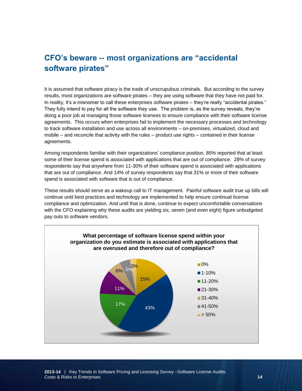#### <span id="page-13-0"></span>**CFO's beware -- most organizations are "accidental software pirates"**

It is assumed that software piracy is the trade of unscrupulous criminals. But according to the survey results, most organizations are software pirates – they are using software that they have not paid for. In reality, it's a misnomer to call these enterprises software pirates – they're really "accidental pirates." They fully intend to pay for all the software they use. The problem is, as the survey reveals, they're doing a poor job at managing those software licenses to ensure compliance with their software license agreements. This occurs when enterprises fail to implement the necessary processes and technology to track software installation and use across all environments – on-premises, virtualized, cloud and mobile – and reconcile that activity with the rules – product use rights – contained in their license agreements.

Among respondents familiar with their organizations' compliance position, 85% reported that at least some of their license spend is associated with applications that are out of compliance. 28% of survey respondents say that anywhere from 11-30% of their software spend is associated with applications that are out of compliance. And 14% of survey respondents say that 31% or more of their software spend is associated with software that is out of compliance.

These results should serve as a wakeup call to IT management. Painful software audit true up bills will continue until best practices and technology are implemented to help ensure continual license compliance and optimization. And until that is done, continue to expect uncomfortable conversations with the CFO explaining why these audits are yielding six, seven (and even eight) figure unbudgeted pay outs to software vendors.

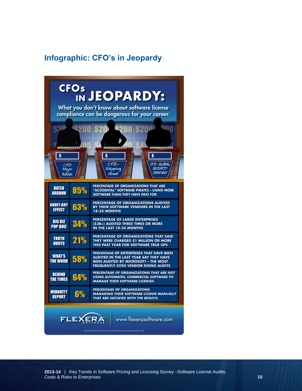## <span id="page-14-0"></span>**Infographic: CFO's in Jeopardy**

| <b>CFOs</b><br>IN JEOPARDY:<br>What you don't know about software license<br>compliance can be dangerous for your career.<br>\$200 \$20 <sup>6</sup> \$200 \$200<br>000<br>$\boldsymbol{s}$<br>$\boldsymbol{s}$<br>$\boldsymbol{s}$<br>$CFO-$<br>CFO-GLOBAL<br>CFO<br><b>SECURITY</b><br>Shipping<br>Major<br><b>COMPANY</b><br>Giant<br>BANK |     |                                                                                                                                                                                  |  |
|-----------------------------------------------------------------------------------------------------------------------------------------------------------------------------------------------------------------------------------------------------------------------------------------------------------------------------------------------|-----|----------------------------------------------------------------------------------------------------------------------------------------------------------------------------------|--|
| <b>RATED</b><br><b>ARGHHH</b>                                                                                                                                                                                                                                                                                                                 | 85% | PERCENTAGE OF ORGANIZATIONS THAT ARE<br>"ACCIDENTAL" SOFTWARE PIRATES - USING MORE<br>SOFTWARE THAN THEY HAVE PAID FOR                                                           |  |
| <b>AUDIT-ORY</b><br><b>EFFECT</b>                                                                                                                                                                                                                                                                                                             | 63% | PERCENTAGE OF ORGANIZATIONS AUDITED<br>BY THEIR SOFTWARE VENDORS IN THE LAST<br>18-24 MONTHS                                                                                     |  |
| <b>BIG BIZ</b><br><b>POP QUIZ</b>                                                                                                                                                                                                                                                                                                             | 34% | PERCENTAGE OF LARGE ENTERPRISES<br>(\$3B+) AUDITED THREE TIMES OR MORE<br>IN THE LAST 18-24 MONTHS                                                                               |  |
| <b>TRUTH</b><br><b>HURTS</b>                                                                                                                                                                                                                                                                                                                  | 21% | PERCENTAGE OF ORGANIZATIONS THAT SAID<br>THEY WERE CHARGED \$1 MILLION OR MORE<br>THIS PAST YEAR FOR SOFTWARE TRUE UPS                                                           |  |
| <b>WHAT'S</b><br><b>THE WORD</b>                                                                                                                                                                                                                                                                                                              | 58% | PERCENTAGE OF ENTERPRISES THAT HAVE BEEN<br>AUDITED IN THE LAST YEAR SAY THEY HAVE<br><b>BEEN AUDITED BY MICROSOFT - THE MOST</b><br><b>FREQUENTLY CITED VENDOR DOING AUDITS</b> |  |
| <b>BEHIND</b><br><b>THE TIMES</b>                                                                                                                                                                                                                                                                                                             | 64% | PERCENTAGE OF ORGANIZATIONS THAT ARE NOT<br>USING AUTOMATED, COMMERCIAL SOFTWARE TO<br><b>MANAGE THEIR SOFTWARE LICENSES</b>                                                     |  |
| <b>MINORITY</b><br><b>REPORT</b>                                                                                                                                                                                                                                                                                                              | 6%  | PERCENTAGE OF ORGANIZATIONS<br><b>MANAGING THEIR SOFTWARE LICENSE MANUALLY</b><br>THAT ARE SATISFIED WITH THE RESULTS                                                            |  |
| FLEXER<br>www.flexerasoftware.com                                                                                                                                                                                                                                                                                                             |     |                                                                                                                                                                                  |  |